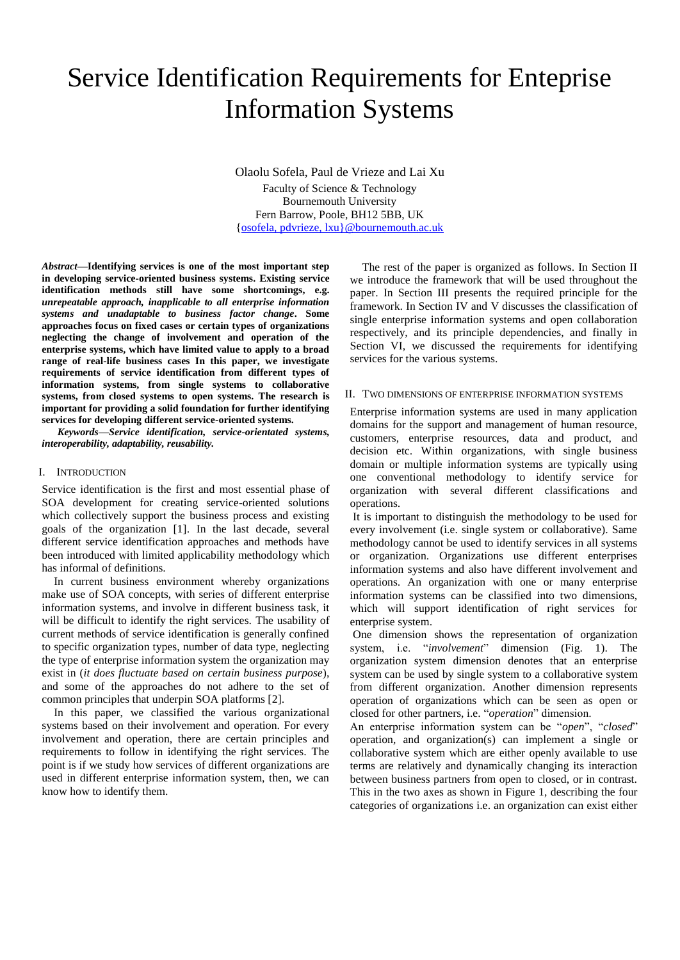# Service Identification Requirements for Enteprise Information Systems

Olaolu Sofela, Paul de Vrieze and Lai Xu Faculty of Science & Technology Bournemouth University Fern Barrow, Poole, BH12 5BB, UK [{osofela, pdvrieze, lxu}@bournemouth.ac.uk](mailto:osofela,%20pdvrieze,%20lxu%7d@bournemouth.ac.uk)

*Abstract***—Identifying services is one of the most important step in developing service-oriented business systems. Existing service identification methods still have some shortcomings, e.g.**  *unrepeatable approach, inapplicable to all enterprise information systems and unadaptable to business factor change***. Some approaches focus on fixed cases or certain types of organizations neglecting the change of involvement and operation of the enterprise systems, which have limited value to apply to a broad range of real-life business cases In this paper, we investigate requirements of service identification from different types of information systems, from single systems to collaborative systems, from closed systems to open systems. The research is important for providing a solid foundation for further identifying services for developing different service-oriented systems.** 

*Keywords—Service identification, service-orientated systems, interoperability, adaptability, reusability.*

### I. INTRODUCTION

Service identification is the first and most essential phase of SOA development for creating service-oriented solutions which collectively support the business process and existing goals of the organization [1]. In the last decade, several different service identification approaches and methods have been introduced with limited applicability methodology which has informal of definitions.

In current business environment whereby organizations make use of SOA concepts, with series of different enterprise information systems, and involve in different business task, it will be difficult to identify the right services. The usability of current methods of service identification is generally confined to specific organization types, number of data type, neglecting the type of enterprise information system the organization may exist in (*it does fluctuate based on certain business purpose*), and some of the approaches do not adhere to the set of common principles that underpin SOA platforms [2].

In this paper, we classified the various organizational systems based on their involvement and operation. For every involvement and operation, there are certain principles and requirements to follow in identifying the right services. The point is if we study how services of different organizations are used in different enterprise information system, then, we can know how to identify them.

The rest of the paper is organized as follows. In Section II we introduce the framework that will be used throughout the paper. In Section III presents the required principle for the framework. In Section IV and V discusses the classification of single enterprise information systems and open collaboration respectively, and its principle dependencies, and finally in Section VI, we discussed the requirements for identifying services for the various systems.

#### II. TWO DIMENSIONS OF ENTERPRISE INFORMATION SYSTEMS

Enterprise information systems are used in many application domains for the support and management of human resource, customers, enterprise resources, data and product, and decision etc. Within organizations, with single business domain or multiple information systems are typically using one conventional methodology to identify service for organization with several different classifications and operations.

It is important to distinguish the methodology to be used for every involvement (i.e. single system or collaborative). Same methodology cannot be used to identify services in all systems or organization. Organizations use different enterprises information systems and also have different involvement and operations. An organization with one or many enterprise information systems can be classified into two dimensions, which will support identification of right services for enterprise system.

One dimension shows the representation of organization system, i.e. "*involvement*" dimension (Fig. 1). The organization system dimension denotes that an enterprise system can be used by single system to a collaborative system from different organization. Another dimension represents operation of organizations which can be seen as open or closed for other partners, i.e. "*operation*" dimension.

An enterprise information system can be "*open*", "*closed*" operation, and organization(s) can implement a single or collaborative system which are either openly available to use terms are relatively and dynamically changing its interaction between business partners from open to closed, or in contrast. This in the two axes as shown in Figure 1, describing the four categories of organizations i.e. an organization can exist either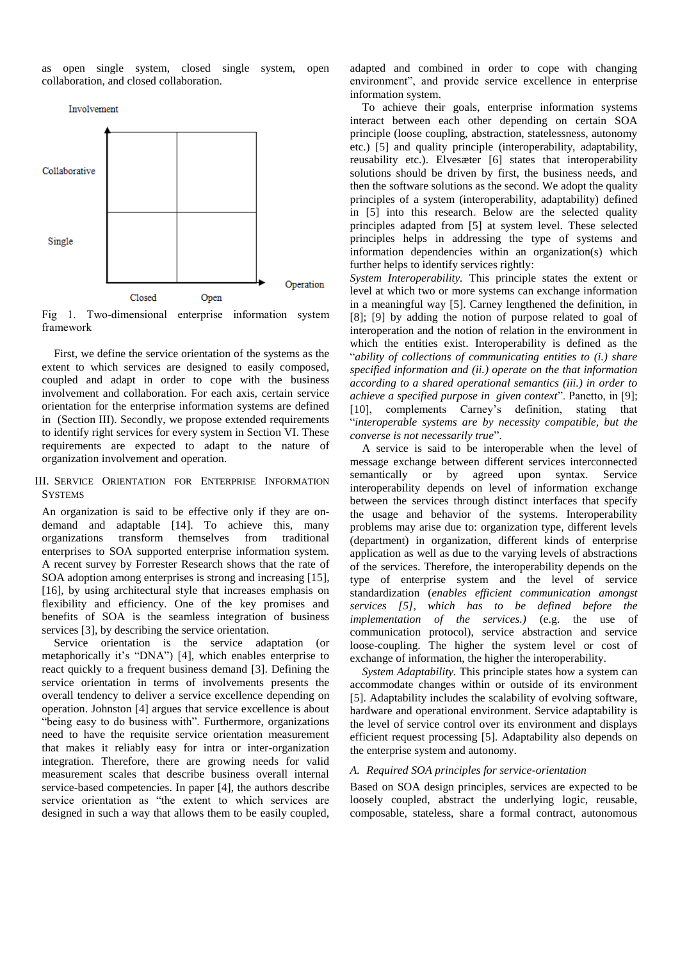as open single system, closed single system, open collaboration, and closed collaboration.



Fig 1. Two-dimensional enterprise information system framework

First, we define the service orientation of the systems as the extent to which services are designed to easily composed, coupled and adapt in order to cope with the business involvement and collaboration. For each axis, certain service orientation for the enterprise information systems are defined in (Section III). Secondly, we propose extended requirements to identify right services for every system in Section VI. These requirements are expected to adapt to the nature of organization involvement and operation.

III. SERVICE ORIENTATION FOR ENTERPRISE INFORMATION **SYSTEMS** 

An organization is said to be effective only if they are ondemand and adaptable [14]. To achieve this, many organizations transform themselves from traditional enterprises to SOA supported enterprise information system. A recent survey by Forrester Research shows that the rate of SOA adoption among enterprises is strong and increasing [15], [16], by using architectural style that increases emphasis on flexibility and efficiency. One of the key promises and benefits of SOA is the seamless integration of business services [3], by describing the service orientation.

Service orientation is the service adaptation (or metaphorically it's "DNA") [4], which enables enterprise to react quickly to a frequent business demand [3]. Defining the service orientation in terms of involvements presents the overall tendency to deliver a service excellence depending on operation. Johnston [4] argues that service excellence is about "being easy to do business with". Furthermore, organizations need to have the requisite service orientation measurement that makes it reliably easy for intra or inter-organization integration. Therefore, there are growing needs for valid measurement scales that describe business overall internal service-based competencies. In paper [4], the authors describe service orientation as "the extent to which services are designed in such a way that allows them to be easily coupled,

adapted and combined in order to cope with changing environment", and provide service excellence in enterprise information system.

To achieve their goals, enterprise information systems interact between each other depending on certain SOA principle (loose coupling, abstraction, statelessness, autonomy etc.) [5] and quality principle (interoperability, adaptability, reusability etc.). Elvesæter [6] states that interoperability solutions should be driven by first, the business needs, and then the software solutions as the second. We adopt the quality principles of a system (interoperability, adaptability) defined in [5] into this research. Below are the selected quality principles adapted from [5] at system level. These selected principles helps in addressing the type of systems and information dependencies within an organization(s) which further helps to identify services rightly:

*System Interoperability.* This principle states the extent or level at which two or more systems can exchange information in a meaningful way [5]. Carney lengthened the definition, in [8]; [9] by adding the notion of purpose related to goal of interoperation and the notion of relation in the environment in which the entities exist. Interoperability is defined as the "*ability of collections of communicating entities to (i.) share specified information and (ii.) operate on the that information according to a shared operational semantics (iii.) in order to achieve a specified purpose in given context*". Panetto, in [9]; [10], complements Carney's definition, stating that "*interoperable systems are by necessity compatible, but the converse is not necessarily true*".

A service is said to be interoperable when the level of message exchange between different services interconnected semantically or by agreed upon syntax. Service interoperability depends on level of information exchange between the services through distinct interfaces that specify the usage and behavior of the systems. Interoperability problems may arise due to: organization type, different levels (department) in organization, different kinds of enterprise application as well as due to the varying levels of abstractions of the services. Therefore, the interoperability depends on the type of enterprise system and the level of service standardization (*enables efficient communication amongst services [5], which has to be defined before the implementation of the services.)* (e.g. the use of communication protocol), service abstraction and service loose-coupling. The higher the system level or cost of exchange of information, the higher the interoperability.

*System Adaptability.* This principle states how a system can accommodate changes within or outside of its environment [5]. Adaptability includes the scalability of evolving software, hardware and operational environment. Service adaptability is the level of service control over its environment and displays efficient request processing [5]. Adaptability also depends on the enterprise system and autonomy.

#### *A. Required SOA principles for service-orientation*

Based on SOA design principles, services are expected to be loosely coupled, abstract the underlying logic, reusable, composable, stateless, share a formal contract, autonomous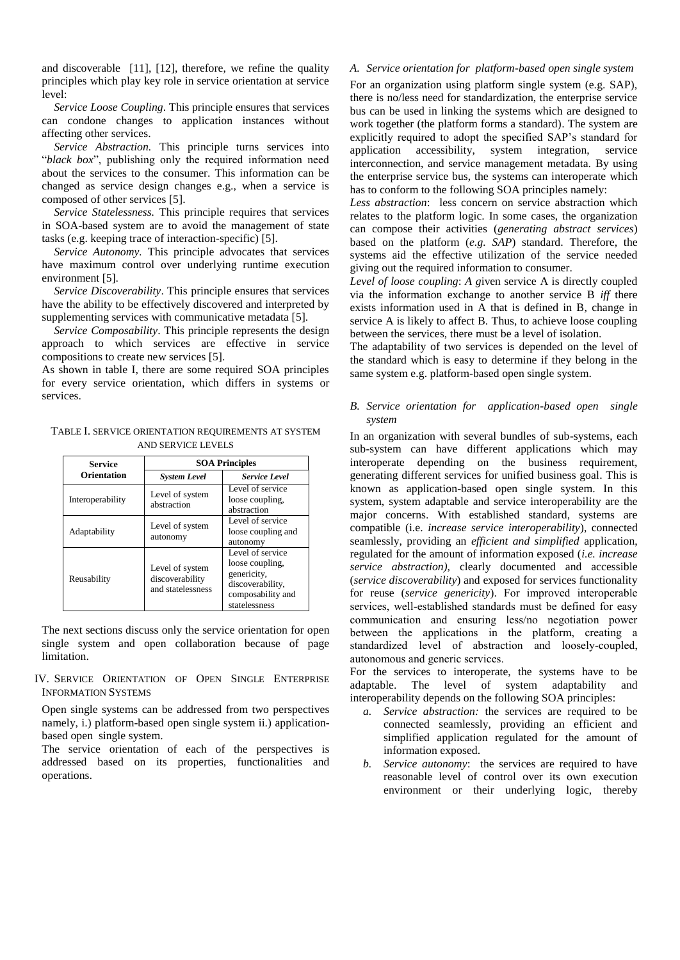and discoverable [11], [12], therefore, we refine the quality principles which play key role in service orientation at service level:

*Service Loose Coupling*. This principle ensures that services can condone changes to application instances without affecting other services.

*Service Abstraction.* This principle turns services into "*black box*", publishing only the required information need about the services to the consumer. This information can be changed as service design changes e.g., when a service is composed of other services [5].

*Service Statelessness.* This principle requires that services in SOA-based system are to avoid the management of state tasks (e.g. keeping trace of interaction-specific) [5].

*Service Autonomy.* This principle advocates that services have maximum control over underlying runtime execution environment [5].

*Service Discoverability*. This principle ensures that services have the ability to be effectively discovered and interpreted by supplementing services with communicative metadata [5].

*Service Composability*. This principle represents the design approach to which services are effective in service compositions to create new services [5].

As shown in table I, there are some required SOA principles for every service orientation, which differs in systems or services.

| TABLE I. SERVICE ORIENTATION REQUIREMENTS AT SYSTEM |
|-----------------------------------------------------|
| AND SERVICE LEVELS                                  |

| Service<br><b>Orientation</b> | <b>SOA Principles</b>                                   |                                                                                                              |
|-------------------------------|---------------------------------------------------------|--------------------------------------------------------------------------------------------------------------|
|                               | <b>System Level</b>                                     | <b>Service Level</b>                                                                                         |
| Interoperability              | Level of system<br>abstraction                          | Level of service<br>loose coupling,<br>abstraction                                                           |
| Adaptability                  | Level of system<br>autonomy                             | Level of service<br>loose coupling and<br>autonomy                                                           |
| Reusability                   | Level of system<br>discoverability<br>and statelessness | Level of service<br>loose coupling,<br>genericity,<br>discoverability,<br>composability and<br>statelessness |

The next sections discuss only the service orientation for open single system and open collaboration because of page limitation.

IV. SERVICE ORIENTATION OF OPEN SINGLE ENTERPRISE INFORMATION SYSTEMS

Open single systems can be addressed from two perspectives namely, i.) platform-based open single system ii.) applicationbased open single system.

The service orientation of each of the perspectives is addressed based on its properties, functionalities and operations.

# *A. Service orientation for platform-based open single system*

For an organization using platform single system (e.g. SAP), there is no/less need for standardization, the enterprise service bus can be used in linking the systems which are designed to work together (the platform forms a standard). The system are explicitly required to adopt the specified SAP's standard for application accessibility, system integration, service interconnection, and service management metadata. By using the enterprise service bus, the systems can interoperate which has to conform to the following SOA principles namely:

*Less abstraction*: less concern on service abstraction which relates to the platform logic. In some cases, the organization can compose their activities (*generating abstract services*) based on the platform (*e.g. SAP*) standard. Therefore, the systems aid the effective utilization of the service needed giving out the required information to consumer.

*Level of loose coupling*: *A g*iven service A is directly coupled via the information exchange to another service B *iff* there exists information used in A that is defined in B*,* change in service A is likely to affect B. Thus, to achieve loose coupling between the services, there must be a level of isolation.

The adaptability of two services is depended on the level of the standard which is easy to determine if they belong in the same system e.g. platform-based open single system.

# *B. Service orientation for application-based open single system*

In an organization with several bundles of sub-systems, each sub-system can have different applications which may interoperate depending on the business requirement, generating different services for unified business goal. This is known as application-based open single system. In this system, system adaptable and service interoperability are the major concerns. With established standard, systems are compatible (i.e. *increase service interoperability*), connected seamlessly, providing an *efficient and simplified* application, regulated for the amount of information exposed (*i.e. increase service abstraction),* clearly documented and accessible (*service discoverability*) and exposed for services functionality for reuse (*service genericity*). For improved interoperable services, well-established standards must be defined for easy communication and ensuring less/no negotiation power between the applications in the platform, creating a standardized level of abstraction and loosely-coupled, autonomous and generic services.

For the services to interoperate, the systems have to be adaptable. The level of system adaptability and interoperability depends on the following SOA principles:

- *a. Service abstraction:* the services are required to be connected seamlessly, providing an efficient and simplified application regulated for the amount of information exposed.
- *b. Service autonomy*: the services are required to have reasonable level of control over its own execution environment or their underlying logic, thereby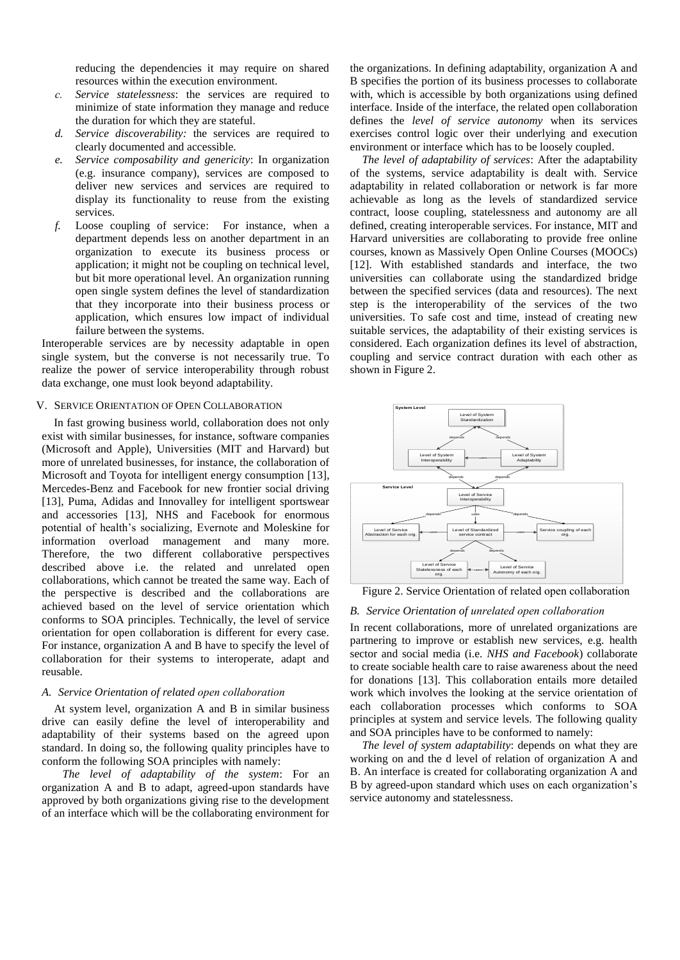reducing the dependencies it may require on shared resources within the execution environment.

- *c. Service statelessness*: the services are required to minimize of state information they manage and reduce the duration for which they are stateful.
- *d. Service discoverability:* the services are required to clearly documented and accessible.
- *e. Service composability and genericity*: In organization (e.g. insurance company), services are composed to deliver new services and services are required to display its functionality to reuse from the existing services.
- *f.* Loose coupling of service: For instance, when a department depends less on another department in an organization to execute its business process or application; it might not be coupling on technical level, but bit more operational level. An organization running open single system defines the level of standardization that they incorporate into their business process or application, which ensures low impact of individual failure between the systems.

Interoperable services are by necessity adaptable in open single system, but the converse is not necessarily true. To realize the power of service interoperability through robust data exchange, one must look beyond adaptability.

### V. SERVICE ORIENTATION OF OPEN COLLABORATION

In fast growing business world, collaboration does not only exist with similar businesses, for instance, software companies (Microsoft and Apple), Universities (MIT and Harvard) but more of unrelated businesses, for instance, the collaboration of Microsoft and Toyota for intelligent energy consumption [13], Mercedes-Benz and Facebook for new frontier social driving [13], Puma, Adidas and Innovalley for intelligent sportswear and accessories [13], NHS and Facebook for enormous potential of health's socializing, Evernote and Moleskine for information overload management and many more. Therefore, the two different collaborative perspectives described above i.e. the related and unrelated open collaborations, which cannot be treated the same way. Each of the perspective is described and the collaborations are achieved based on the level of service orientation which conforms to SOA principles. Technically, the level of service orientation for open collaboration is different for every case. For instance, organization A and B have to specify the level of collaboration for their systems to interoperate, adapt and reusable.

# *A. Service Orientation of related open collaboration*

At system level, organization A and B in similar business drive can easily define the level of interoperability and adaptability of their systems based on the agreed upon standard. In doing so, the following quality principles have to conform the following SOA principles with namely:

 *The level of adaptability of the system*: For an organization A and B to adapt, agreed-upon standards have approved by both organizations giving rise to the development of an interface which will be the collaborating environment for

the organizations. In defining adaptability, organization A and B specifies the portion of its business processes to collaborate with, which is accessible by both organizations using defined interface. Inside of the interface, the related open collaboration defines the *level of service autonomy* when its services exercises control logic over their underlying and execution environment or interface which has to be loosely coupled.

*The level of adaptability of services*: After the adaptability of the systems, service adaptability is dealt with. Service adaptability in related collaboration or network is far more achievable as long as the levels of standardized service contract, loose coupling, statelessness and autonomy are all defined, creating interoperable services. For instance, MIT and Harvard universities are collaborating to provide free online courses, known as Massively Open Online Courses (MOOCs) [12]. With established standards and interface, the two universities can collaborate using the standardized bridge between the specified services (data and resources). The next step is the interoperability of the services of the two universities. To safe cost and time, instead of creating new suitable services, the adaptability of their existing services is considered. Each organization defines its level of abstraction, coupling and service contract duration with each other as shown in Figure 2.



Figure 2. Service Orientation of related open collaboration

#### *B. Service Orientation of unrelated open collaboration*

In recent collaborations, more of unrelated organizations are partnering to improve or establish new services, e.g. health sector and social media (i.e. *NHS and Facebook*) collaborate to create sociable health care to raise awareness about the need for donations [13]. This collaboration entails more detailed work which involves the looking at the service orientation of each collaboration processes which conforms to SOA principles at system and service levels. The following quality and SOA principles have to be conformed to namely:

*The level of system adaptability*: depends on what they are working on and the d level of relation of organization A and B. An interface is created for collaborating organization A and B by agreed-upon standard which uses on each organization's service autonomy and statelessness.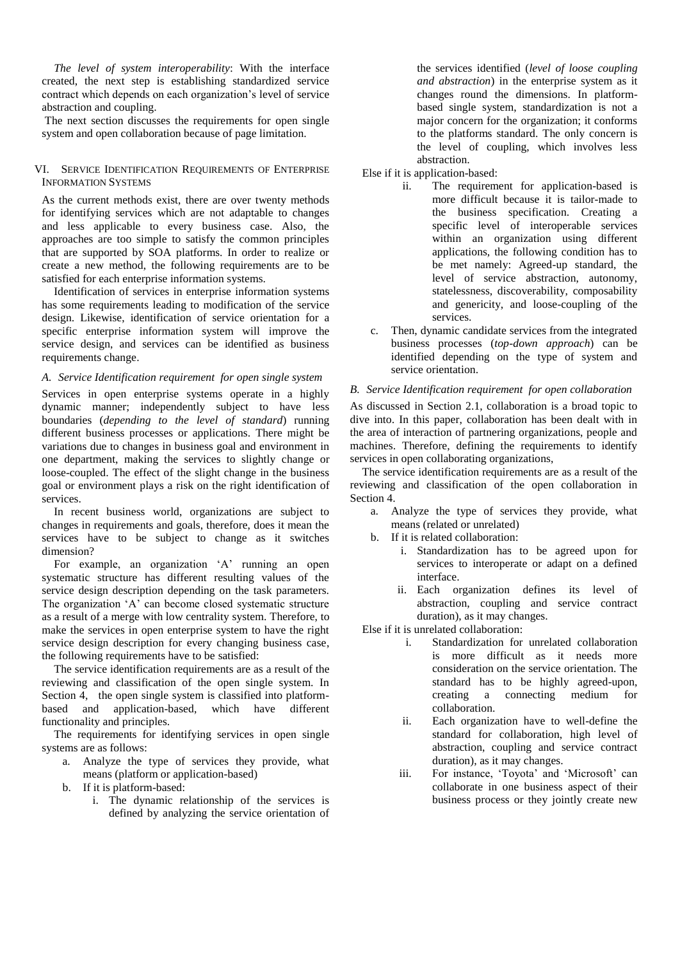*The level of system interoperability*: With the interface created, the next step is establishing standardized service contract which depends on each organization's level of service abstraction and coupling.

The next section discusses the requirements for open single system and open collaboration because of page limitation.

# VI. SERVICE IDENTIFICATION REQUIREMENTS OF ENTERPRISE INFORMATION SYSTEMS

As the current methods exist, there are over twenty methods for identifying services which are not adaptable to changes and less applicable to every business case. Also, the approaches are too simple to satisfy the common principles that are supported by SOA platforms. In order to realize or create a new method, the following requirements are to be satisfied for each enterprise information systems.

Identification of services in enterprise information systems has some requirements leading to modification of the service design. Likewise, identification of service orientation for a specific enterprise information system will improve the service design, and services can be identified as business requirements change.

#### *A. Service Identification requirement for open single system*

Services in open enterprise systems operate in a highly dynamic manner; independently subject to have less boundaries (*depending to the level of standard*) running different business processes or applications. There might be variations due to changes in business goal and environment in one department, making the services to slightly change or loose-coupled. The effect of the slight change in the business goal or environment plays a risk on the right identification of services.

In recent business world, organizations are subject to changes in requirements and goals, therefore, does it mean the services have to be subject to change as it switches dimension?

For example, an organization 'A' running an open systematic structure has different resulting values of the service design description depending on the task parameters. The organization 'A' can become closed systematic structure as a result of a merge with low centrality system. Therefore, to make the services in open enterprise system to have the right service design description for every changing business case, the following requirements have to be satisfied:

The service identification requirements are as a result of the reviewing and classification of the open single system. In Section 4, the open single system is classified into platformbased and application-based, which have different functionality and principles.

The requirements for identifying services in open single systems are as follows:

- a. Analyze the type of services they provide, what means (platform or application-based)
- b. If it is platform-based:
	- i. The dynamic relationship of the services is defined by analyzing the service orientation of

the services identified (*level of loose coupling and abstraction*) in the enterprise system as it changes round the dimensions. In platformbased single system, standardization is not a major concern for the organization; it conforms to the platforms standard. The only concern is the level of coupling, which involves less abstraction.

Else if it is application-based:

- ii. The requirement for application-based is more difficult because it is tailor-made to the business specification. Creating a specific level of interoperable services within an organization using different applications, the following condition has to be met namely: Agreed-up standard, the level of service abstraction, autonomy, statelessness, discoverability, composability and genericity, and loose-coupling of the services.
- c. Then, dynamic candidate services from the integrated business processes (*top-down approach*) can be identified depending on the type of system and service orientation.

# *B. Service Identification requirement for open collaboration*

As discussed in Section 2.1, collaboration is a broad topic to dive into. In this paper, collaboration has been dealt with in the area of interaction of partnering organizations, people and machines. Therefore, defining the requirements to identify services in open collaborating organizations,

The service identification requirements are as a result of the reviewing and classification of the open collaboration in Section 4.

- a. Analyze the type of services they provide, what means (related or unrelated)
- b. If it is related collaboration:
	- i. Standardization has to be agreed upon for services to interoperate or adapt on a defined interface.
	- ii. Each organization defines its level of abstraction, coupling and service contract duration), as it may changes.

Else if it is unrelated collaboration:

- i. Standardization for unrelated collaboration is more difficult as it needs more consideration on the service orientation. The standard has to be highly agreed-upon, creating a connecting medium for collaboration.
- ii. Each organization have to well-define the standard for collaboration, high level of abstraction, coupling and service contract duration), as it may changes.
- iii. For instance, 'Toyota' and 'Microsoft' can collaborate in one business aspect of their business process or they jointly create new